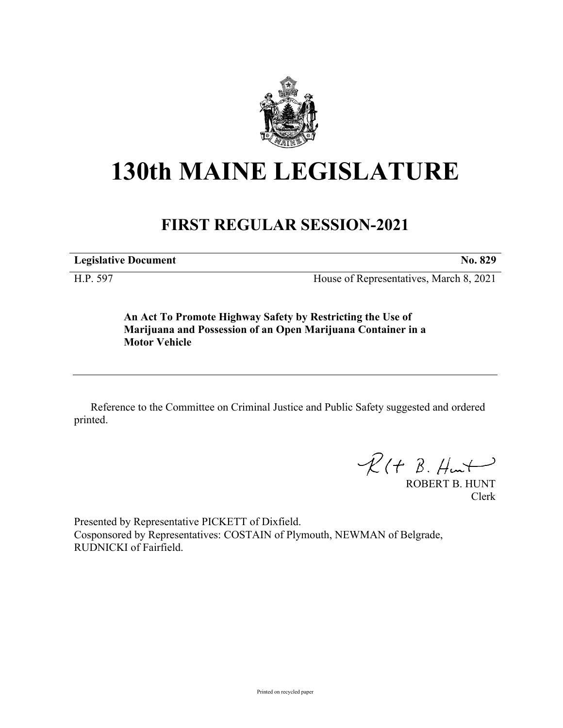

## **130th MAINE LEGISLATURE**

## **FIRST REGULAR SESSION-2021**

**Legislative Document No. 829**

H.P. 597 House of Representatives, March 8, 2021

**An Act To Promote Highway Safety by Restricting the Use of Marijuana and Possession of an Open Marijuana Container in a Motor Vehicle**

Reference to the Committee on Criminal Justice and Public Safety suggested and ordered printed.

 $R(H B. Hmt)$ 

ROBERT B. HUNT Clerk

Presented by Representative PICKETT of Dixfield. Cosponsored by Representatives: COSTAIN of Plymouth, NEWMAN of Belgrade, RUDNICKI of Fairfield.